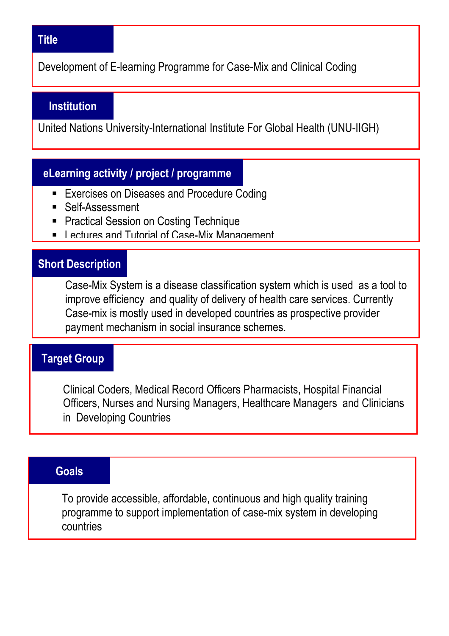#### **Title**

Development of E-learning Programme for Case-Mix and Clinical Coding

#### **Institution**

United Nations University-International Institute For Global Health (UNU-IIGH)

## **eLearning activity / project / programme**

- **Exercises on Diseases and Procedure Coding**
- Self-Assessment
- **Practical Session on Costing Technique**
- **E.** Lectures and Tutorial of Case-Mix Management

#### **Short Description**

Case-Mix System is a disease classification system which is used as a tool to improve efficiency and quality of delivery of health care services. Currently Case-mix is mostly used in developed countries as prospective provider payment mechanism in social insurance schemes.

#### **Target Group**

Clinical Coders, Medical Record Officers Pharmacists, Hospital Financial Officers, Nurses and Nursing Managers, Healthcare Managers and Clinicians in Developing Countries

## **Goals**

j

To provide accessible, affordable, continuous and high quality training programme to support implementation of case-mix system in developing countries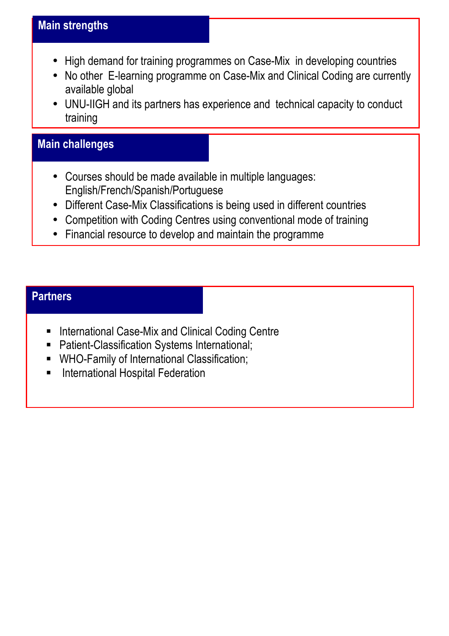- High demand for training programmes on Case-Mix in developing countries
- No other E-learning programme on Case-Mix and Clinical Coding are currently available global
- UNU-IIGH and its partners has experience and technical capacity to conduct training

# **Main challenges**

- Courses should be made available in multiple languages: English/French/Spanish/Portuguese
- Different Case-Mix Classifications is being used in different countries
- Competition with Coding Centres using conventional mode of training
- Financial resource to develop and maintain the programme

# **Partners**

-

- **International Case-Mix and Clinical Coding Centre**
- **Patient-Classification Systems International;**
- WHO-Family of International Classification;
- **E** International Hospital Federation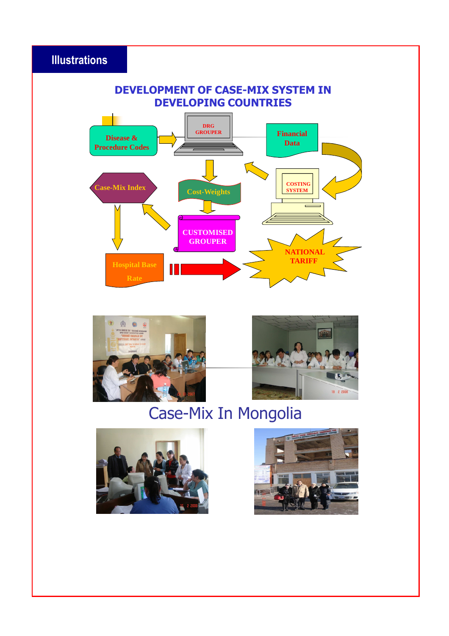# **Illustrations**

#### **DEVELOPMENT OF CASE-MIX SYSTEM IN DEVELOPING COUNTRIES**







# Case-Mix In Mongolia